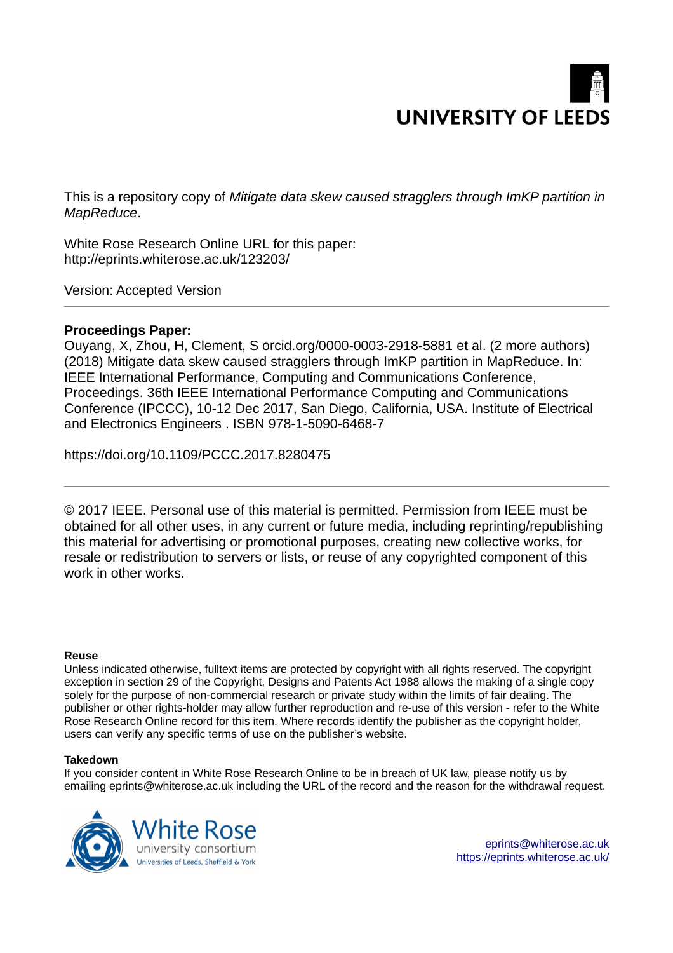# **UNIVERSITY OF LEED**

This is a repository copy of *Mitigate data skew caused stragglers through ImKP partition in MapReduce*.

White Rose Research Online URL for this paper: http://eprints.whiterose.ac.uk/123203/

Version: Accepted Version

# **Proceedings Paper:**

Ouyang, X, Zhou, H, Clement, S orcid.org/0000-0003-2918-5881 et al. (2 more authors) (2018) Mitigate data skew caused stragglers through ImKP partition in MapReduce. In: IEEE International Performance, Computing and Communications Conference, Proceedings. 36th IEEE International Performance Computing and Communications Conference (IPCCC), 10-12 Dec 2017, San Diego, California, USA. Institute of Electrical and Electronics Engineers . ISBN 978-1-5090-6468-7

https://doi.org/10.1109/PCCC.2017.8280475

© 2017 IEEE. Personal use of this material is permitted. Permission from IEEE must be obtained for all other uses, in any current or future media, including reprinting/republishing this material for advertising or promotional purposes, creating new collective works, for resale or redistribution to servers or lists, or reuse of any copyrighted component of this work in other works.

## **Reuse**

Unless indicated otherwise, fulltext items are protected by copyright with all rights reserved. The copyright exception in section 29 of the Copyright, Designs and Patents Act 1988 allows the making of a single copy solely for the purpose of non-commercial research or private study within the limits of fair dealing. The publisher or other rights-holder may allow further reproduction and re-use of this version - refer to the White Rose Research Online record for this item. Where records identify the publisher as the copyright holder, users can verify any specific terms of use on the publisher's website.

## **Takedown**

If you consider content in White Rose Research Online to be in breach of UK law, please notify us by emailing eprints@whiterose.ac.uk including the URL of the record and the reason for the withdrawal request.

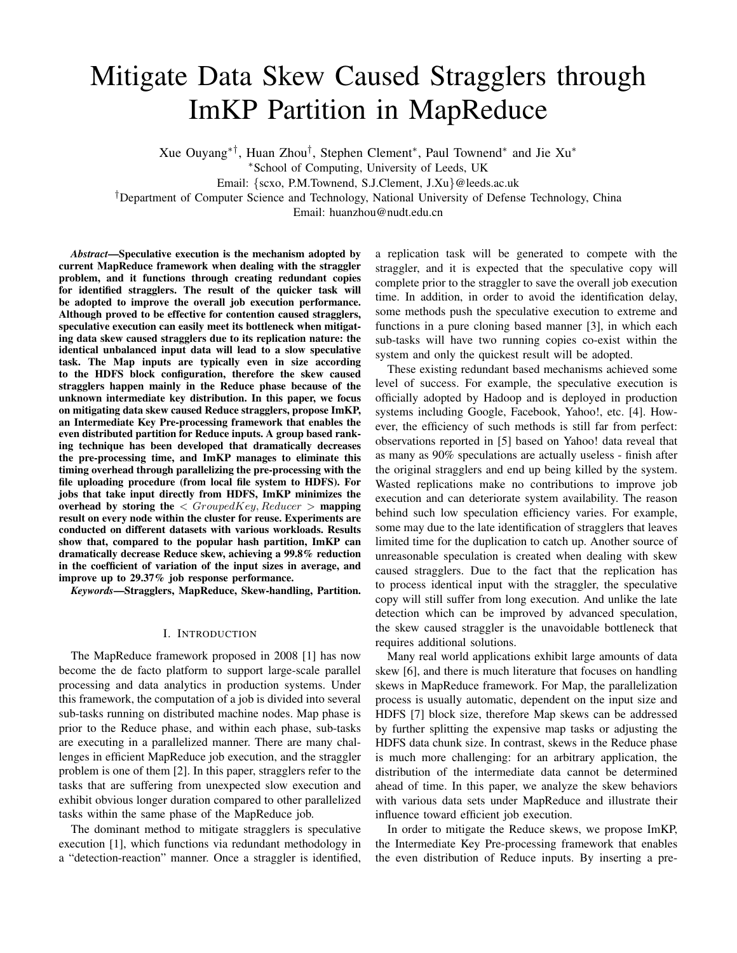# Mitigate Data Skew Caused Stragglers through ImKP Partition in MapReduce

Xue Ouyang∗†, Huan Zhou† , Stephen Clement<sup>∗</sup> , Paul Townend<sup>∗</sup> and Jie Xu<sup>∗</sup>

<sup>∗</sup>School of Computing, University of Leeds, UK

Email: {scxo, P.M.Townend, S.J.Clement, J.Xu}@leeds.ac.uk

†Department of Computer Science and Technology, National University of Defense Technology, China

Email: huanzhou@nudt.edu.cn

*Abstract*—Speculative execution is the mechanism adopted by current MapReduce framework when dealing with the straggler problem, and it functions through creating redundant copies for identified stragglers. The result of the quicker task will be adopted to improve the overall job execution performance. Although proved to be effective for contention caused stragglers, speculative execution can easily meet its bottleneck when mitigating data skew caused stragglers due to its replication nature: the identical unbalanced input data will lead to a slow speculative task. The Map inputs are typically even in size according to the HDFS block configuration, therefore the skew caused stragglers happen mainly in the Reduce phase because of the unknown intermediate key distribution. In this paper, we focus on mitigating data skew caused Reduce stragglers, propose ImKP, an Intermediate Key Pre-processing framework that enables the even distributed partition for Reduce inputs. A group based ranking technique has been developed that dramatically decreases the pre-processing time, and ImKP manages to eliminate this timing overhead through parallelizing the pre-processing with the file uploading procedure (from local file system to HDFS). For jobs that take input directly from HDFS, ImKP minimizes the overhead by storing the  $\langle GroupedKey,Reducer$   $>$  mapping result on every node within the cluster for reuse. Experiments are conducted on different datasets with various workloads. Results show that, compared to the popular hash partition, ImKP can dramatically decrease Reduce skew, achieving a 99.8% reduction in the coefficient of variation of the input sizes in average, and improve up to 29.37% job response performance.

*Keywords*—Stragglers, MapReduce, Skew-handling, Partition.

#### I. INTRODUCTION

The MapReduce framework proposed in 2008 [1] has now become the de facto platform to support large-scale parallel processing and data analytics in production systems. Under this framework, the computation of a job is divided into several sub-tasks running on distributed machine nodes. Map phase is prior to the Reduce phase, and within each phase, sub-tasks are executing in a parallelized manner. There are many challenges in efficient MapReduce job execution, and the straggler problem is one of them [2]. In this paper, stragglers refer to the tasks that are suffering from unexpected slow execution and exhibit obvious longer duration compared to other parallelized tasks within the same phase of the MapReduce job.

The dominant method to mitigate stragglers is speculative execution [1], which functions via redundant methodology in a "detection-reaction" manner. Once a straggler is identified, a replication task will be generated to compete with the straggler, and it is expected that the speculative copy will complete prior to the straggler to save the overall job execution time. In addition, in order to avoid the identification delay, some methods push the speculative execution to extreme and functions in a pure cloning based manner [3], in which each sub-tasks will have two running copies co-exist within the system and only the quickest result will be adopted.

These existing redundant based mechanisms achieved some level of success. For example, the speculative execution is officially adopted by Hadoop and is deployed in production systems including Google, Facebook, Yahoo!, etc. [4]. However, the efficiency of such methods is still far from perfect: observations reported in [5] based on Yahoo! data reveal that as many as 90% speculations are actually useless - finish after the original stragglers and end up being killed by the system. Wasted replications make no contributions to improve job execution and can deteriorate system availability. The reason behind such low speculation efficiency varies. For example, some may due to the late identification of stragglers that leaves limited time for the duplication to catch up. Another source of unreasonable speculation is created when dealing with skew caused stragglers. Due to the fact that the replication has to process identical input with the straggler, the speculative copy will still suffer from long execution. And unlike the late detection which can be improved by advanced speculation, the skew caused straggler is the unavoidable bottleneck that requires additional solutions.

Many real world applications exhibit large amounts of data skew [6], and there is much literature that focuses on handling skews in MapReduce framework. For Map, the parallelization process is usually automatic, dependent on the input size and HDFS [7] block size, therefore Map skews can be addressed by further splitting the expensive map tasks or adjusting the HDFS data chunk size. In contrast, skews in the Reduce phase is much more challenging: for an arbitrary application, the distribution of the intermediate data cannot be determined ahead of time. In this paper, we analyze the skew behaviors with various data sets under MapReduce and illustrate their influence toward efficient job execution.

In order to mitigate the Reduce skews, we propose ImKP, the Intermediate Key Pre-processing framework that enables the even distribution of Reduce inputs. By inserting a pre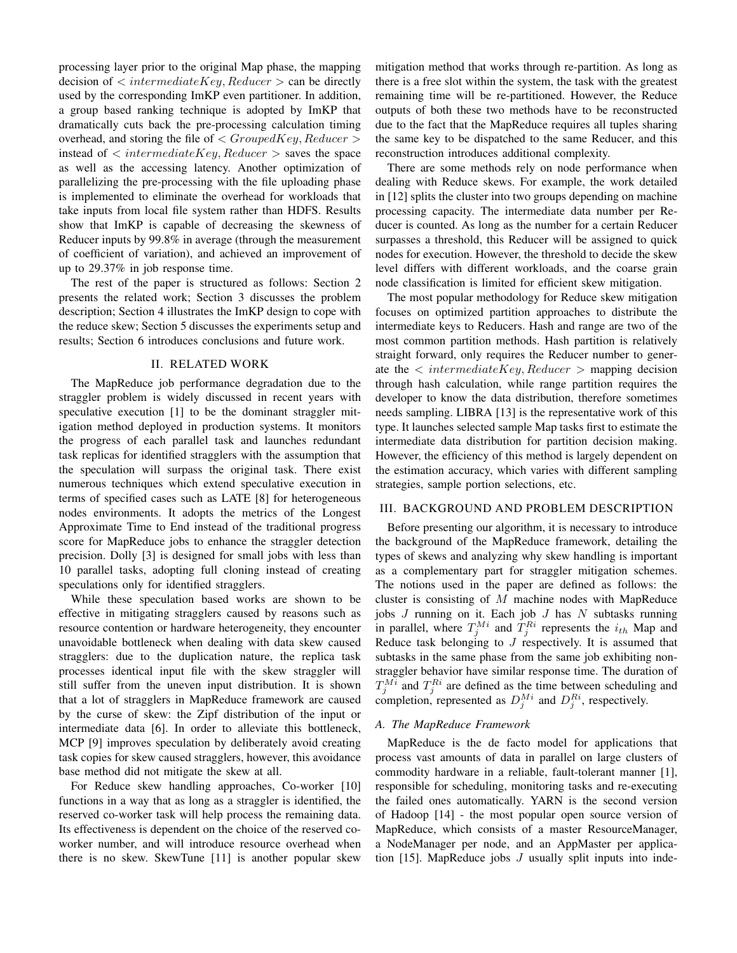processing layer prior to the original Map phase, the mapping decision of  $\langle$  intermediateKey, Reducer  $>$  can be directly used by the corresponding ImKP even partitioner. In addition, a group based ranking technique is adopted by ImKP that dramatically cuts back the pre-processing calculation timing overhead, and storing the file of  $\langle$  GroupedKey, Reducer  $\rangle$ instead of  $\langle$  intermediateKey, Reducer  $>$  saves the space as well as the accessing latency. Another optimization of parallelizing the pre-processing with the file uploading phase is implemented to eliminate the overhead for workloads that take inputs from local file system rather than HDFS. Results show that ImKP is capable of decreasing the skewness of Reducer inputs by 99.8% in average (through the measurement of coefficient of variation), and achieved an improvement of up to 29.37% in job response time.

The rest of the paper is structured as follows: Section 2 presents the related work; Section 3 discusses the problem description; Section 4 illustrates the ImKP design to cope with the reduce skew; Section 5 discusses the experiments setup and results; Section 6 introduces conclusions and future work.

#### II. RELATED WORK

The MapReduce job performance degradation due to the straggler problem is widely discussed in recent years with speculative execution [1] to be the dominant straggler mitigation method deployed in production systems. It monitors the progress of each parallel task and launches redundant task replicas for identified stragglers with the assumption that the speculation will surpass the original task. There exist numerous techniques which extend speculative execution in terms of specified cases such as LATE [8] for heterogeneous nodes environments. It adopts the metrics of the Longest Approximate Time to End instead of the traditional progress score for MapReduce jobs to enhance the straggler detection precision. Dolly [3] is designed for small jobs with less than 10 parallel tasks, adopting full cloning instead of creating speculations only for identified stragglers.

While these speculation based works are shown to be effective in mitigating stragglers caused by reasons such as resource contention or hardware heterogeneity, they encounter unavoidable bottleneck when dealing with data skew caused stragglers: due to the duplication nature, the replica task processes identical input file with the skew straggler will still suffer from the uneven input distribution. It is shown that a lot of stragglers in MapReduce framework are caused by the curse of skew: the Zipf distribution of the input or intermediate data [6]. In order to alleviate this bottleneck, MCP [9] improves speculation by deliberately avoid creating task copies for skew caused stragglers, however, this avoidance base method did not mitigate the skew at all.

For Reduce skew handling approaches, Co-worker [10] functions in a way that as long as a straggler is identified, the reserved co-worker task will help process the remaining data. Its effectiveness is dependent on the choice of the reserved coworker number, and will introduce resource overhead when there is no skew. SkewTune [11] is another popular skew

mitigation method that works through re-partition. As long as there is a free slot within the system, the task with the greatest remaining time will be re-partitioned. However, the Reduce outputs of both these two methods have to be reconstructed due to the fact that the MapReduce requires all tuples sharing the same key to be dispatched to the same Reducer, and this reconstruction introduces additional complexity.

There are some methods rely on node performance when dealing with Reduce skews. For example, the work detailed in [12] splits the cluster into two groups depending on machine processing capacity. The intermediate data number per Reducer is counted. As long as the number for a certain Reducer surpasses a threshold, this Reducer will be assigned to quick nodes for execution. However, the threshold to decide the skew level differs with different workloads, and the coarse grain node classification is limited for efficient skew mitigation.

The most popular methodology for Reduce skew mitigation focuses on optimized partition approaches to distribute the intermediate keys to Reducers. Hash and range are two of the most common partition methods. Hash partition is relatively straight forward, only requires the Reducer number to generate the  $\langle$  intermediateKey, Reducer  $>$  mapping decision through hash calculation, while range partition requires the developer to know the data distribution, therefore sometimes needs sampling. LIBRA [13] is the representative work of this type. It launches selected sample Map tasks first to estimate the intermediate data distribution for partition decision making. However, the efficiency of this method is largely dependent on the estimation accuracy, which varies with different sampling strategies, sample portion selections, etc.

#### III. BACKGROUND AND PROBLEM DESCRIPTION

Before presenting our algorithm, it is necessary to introduce the background of the MapReduce framework, detailing the types of skews and analyzing why skew handling is important as a complementary part for straggler mitigation schemes. The notions used in the paper are defined as follows: the cluster is consisting of M machine nodes with MapReduce jobs  $J$  running on it. Each job  $J$  has  $N$  subtasks running in parallel, where  $T_j^{Mi}$  and  $T_j^{Ri}$  represents the  $i_{th}$  Map and Reduce task belonging to  $J$  respectively. It is assumed that subtasks in the same phase from the same job exhibiting nonstraggler behavior have similar response time. The duration of  $T_j^{Mi}$  and  $T_j^{Ri}$  are defined as the time between scheduling and completion, represented as  $D_j^{Mi}$  and  $D_j^{Ri}$ , respectively.

#### *A. The MapReduce Framework*

MapReduce is the de facto model for applications that process vast amounts of data in parallel on large clusters of commodity hardware in a reliable, fault-tolerant manner [1], responsible for scheduling, monitoring tasks and re-executing the failed ones automatically. YARN is the second version of Hadoop [14] - the most popular open source version of MapReduce, which consists of a master ResourceManager, a NodeManager per node, and an AppMaster per application [15]. MapReduce jobs  $J$  usually split inputs into inde-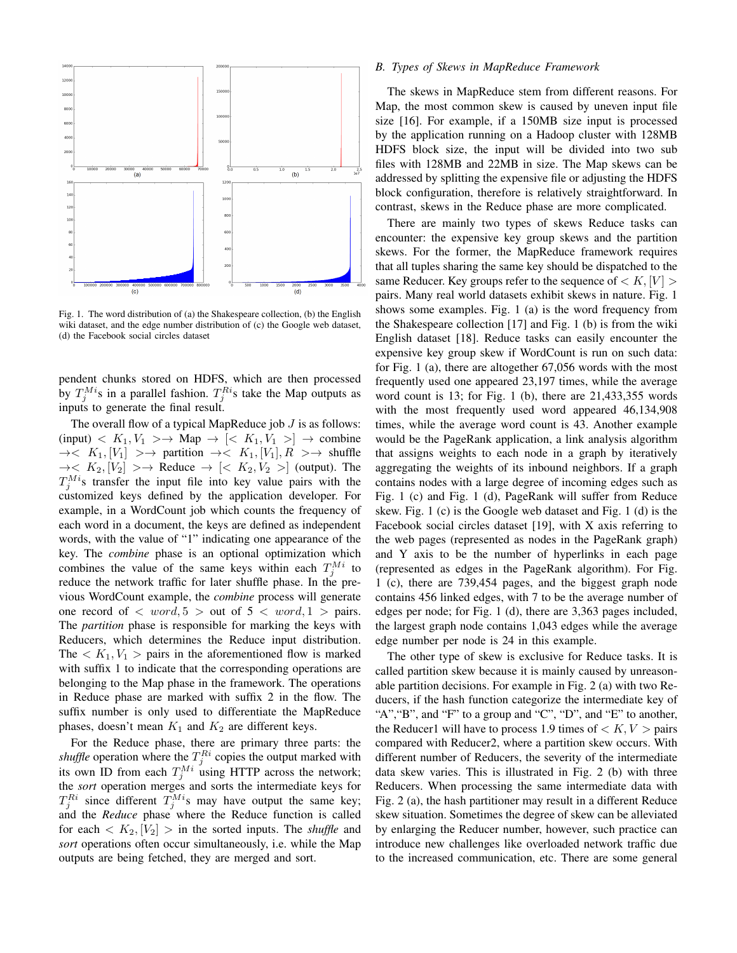

Fig. 1. The word distribution of (a) the Shakespeare collection, (b) the English wiki dataset, and the edge number distribution of (c) the Google web dataset, (d) the Facebook social circles dataset

pendent chunks stored on HDFS, which are then processed by  $T_j^{Mi}$ s in a parallel fashion.  $T_j^{Ri}$ s take the Map outputs as inputs to generate the final result.

The overall flow of a typical MapReduce job  $J$  is as follows:  $(\text{input}) \leq K_1, V_1 \geq \rightarrow \text{Map} \rightarrow [\leq K_1, V_1 \geq] \rightarrow \text{combine}$  $\rightarrow$  <  $K_1$ ,  $[V_1] \rightarrow$  partition  $\rightarrow$  <  $K_1$ ,  $[V_1]$ ,  $R \rightarrow$  shuffle  $\rightarrow$  <  $K_2$ ,  $[V_2] \rightarrow \rightarrow$  Reduce  $\rightarrow$   $\begin{bmatrix} < K_2, V_2 > \end{bmatrix}$  (output). The  $T_j^{Mi}$ s transfer the input file into key value pairs with the customized keys defined by the application developer. For example, in a WordCount job which counts the frequency of each word in a document, the keys are defined as independent words, with the value of "1" indicating one appearance of the key. The *combine* phase is an optional optimization which combines the value of the same keys within each  $T_j^{Mi}$  to reduce the network traffic for later shuffle phase. In the previous WordCount example, the *combine* process will generate one record of  $\langle word, 5 \rangle$  out of  $5 \langle word, 1 \rangle$  pairs. The *partition* phase is responsible for marking the keys with Reducers, which determines the Reduce input distribution. The  $K_1, V_1$  > pairs in the aforementioned flow is marked with suffix 1 to indicate that the corresponding operations are belonging to the Map phase in the framework. The operations in Reduce phase are marked with suffix 2 in the flow. The suffix number is only used to differentiate the MapReduce phases, doesn't mean  $K_1$  and  $K_2$  are different keys.

For the Reduce phase, there are primary three parts: the *shuffle* operation where the  $T_j^{R_i}$  copies the output marked with its own ID from each  $T_j^{Mi}$  using HTTP across the network; the *sort* operation merges and sorts the intermediate keys for  $T_j^{Ri}$  since different  $T_j^{Mi}$ s may have output the same key; and the *Reduce* phase where the Reduce function is called for each  $K_2$ ,  $[V_2] >$  in the sorted inputs. The *shuffle* and *sort* operations often occur simultaneously, i.e. while the Map outputs are being fetched, they are merged and sort.

#### *B. Types of Skews in MapReduce Framework*

The skews in MapReduce stem from different reasons. For Map, the most common skew is caused by uneven input file size [16]. For example, if a 150MB size input is processed by the application running on a Hadoop cluster with 128MB HDFS block size, the input will be divided into two sub files with 128MB and 22MB in size. The Map skews can be addressed by splitting the expensive file or adjusting the HDFS block configuration, therefore is relatively straightforward. In contrast, skews in the Reduce phase are more complicated.

There are mainly two types of skews Reduce tasks can encounter: the expensive key group skews and the partition skews. For the former, the MapReduce framework requires that all tuples sharing the same key should be dispatched to the same Reducer. Key groups refer to the sequence of  $\langle K, V \rangle$ pairs. Many real world datasets exhibit skews in nature. Fig. 1 shows some examples. Fig. 1 (a) is the word frequency from the Shakespeare collection [17] and Fig. 1 (b) is from the wiki English dataset [18]. Reduce tasks can easily encounter the expensive key group skew if WordCount is run on such data: for Fig. 1 (a), there are altogether 67,056 words with the most frequently used one appeared 23,197 times, while the average word count is 13; for Fig. 1 (b), there are 21,433,355 words with the most frequently used word appeared 46,134,908 times, while the average word count is 43. Another example would be the PageRank application, a link analysis algorithm that assigns weights to each node in a graph by iteratively aggregating the weights of its inbound neighbors. If a graph contains nodes with a large degree of incoming edges such as Fig. 1 (c) and Fig. 1 (d), PageRank will suffer from Reduce skew. Fig. 1 (c) is the Google web dataset and Fig. 1 (d) is the Facebook social circles dataset [19], with X axis referring to the web pages (represented as nodes in the PageRank graph) and Y axis to be the number of hyperlinks in each page (represented as edges in the PageRank algorithm). For Fig. 1 (c), there are 739,454 pages, and the biggest graph node contains 456 linked edges, with 7 to be the average number of edges per node; for Fig. 1 (d), there are 3,363 pages included, the largest graph node contains 1,043 edges while the average edge number per node is 24 in this example.

The other type of skew is exclusive for Reduce tasks. It is called partition skew because it is mainly caused by unreasonable partition decisions. For example in Fig. 2 (a) with two Reducers, if the hash function categorize the intermediate key of "A", "B", and "F" to a group and "C", "D", and "E" to another, the Reducer1 will have to process 1.9 times of  $\langle K, V \rangle$  pairs compared with Reducer2, where a partition skew occurs. With different number of Reducers, the severity of the intermediate data skew varies. This is illustrated in Fig. 2 (b) with three Reducers. When processing the same intermediate data with Fig. 2 (a), the hash partitioner may result in a different Reduce skew situation. Sometimes the degree of skew can be alleviated by enlarging the Reducer number, however, such practice can introduce new challenges like overloaded network traffic due to the increased communication, etc. There are some general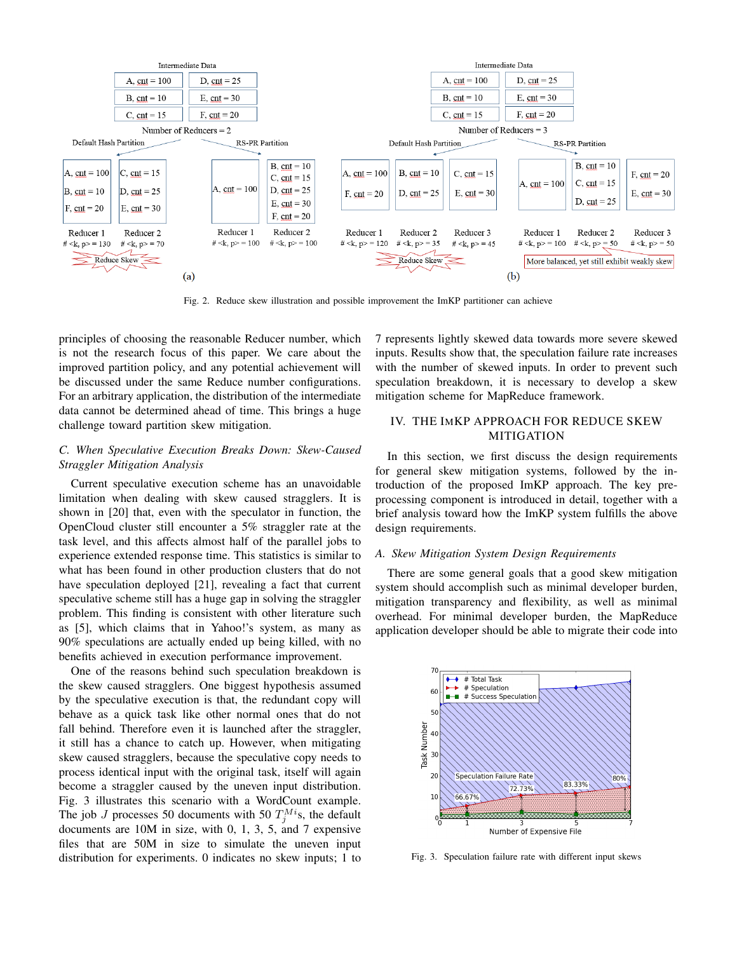

Fig. 2. Reduce skew illustration and possible improvement the ImKP partitioner can achieve

principles of choosing the reasonable Reducer number, which is not the research focus of this paper. We care about the improved partition policy, and any potential achievement will be discussed under the same Reduce number configurations. For an arbitrary application, the distribution of the intermediate data cannot be determined ahead of time. This brings a huge challenge toward partition skew mitigation.

#### *C. When Speculative Execution Breaks Down: Skew-Caused Straggler Mitigation Analysis*

Current speculative execution scheme has an unavoidable limitation when dealing with skew caused stragglers. It is shown in [20] that, even with the speculator in function, the OpenCloud cluster still encounter a 5% straggler rate at the task level, and this affects almost half of the parallel jobs to experience extended response time. This statistics is similar to what has been found in other production clusters that do not have speculation deployed [21], revealing a fact that current speculative scheme still has a huge gap in solving the straggler problem. This finding is consistent with other literature such as [5], which claims that in Yahoo!'s system, as many as 90% speculations are actually ended up being killed, with no benefits achieved in execution performance improvement.

One of the reasons behind such speculation breakdown is the skew caused stragglers. One biggest hypothesis assumed by the speculative execution is that, the redundant copy will behave as a quick task like other normal ones that do not fall behind. Therefore even it is launched after the straggler, it still has a chance to catch up. However, when mitigating skew caused stragglers, because the speculative copy needs to process identical input with the original task, itself will again become a straggler caused by the uneven input distribution. Fig. 3 illustrates this scenario with a WordCount example. The job J processes 50 documents with 50  $T_j^{Mi}$ s, the default documents are 10M in size, with 0, 1, 3, 5, and 7 expensive files that are 50M in size to simulate the uneven input distribution for experiments. 0 indicates no skew inputs; 1 to

7 represents lightly skewed data towards more severe skewed inputs. Results show that, the speculation failure rate increases with the number of skewed inputs. In order to prevent such speculation breakdown, it is necessary to develop a skew mitigation scheme for MapReduce framework.

#### IV. THE IMKP APPROACH FOR REDUCE SKEW MITIGATION

In this section, we first discuss the design requirements for general skew mitigation systems, followed by the introduction of the proposed ImKP approach. The key preprocessing component is introduced in detail, together with a brief analysis toward how the ImKP system fulfills the above design requirements.

#### *A. Skew Mitigation System Design Requirements*

There are some general goals that a good skew mitigation system should accomplish such as minimal developer burden, mitigation transparency and flexibility, as well as minimal overhead. For minimal developer burden, the MapReduce application developer should be able to migrate their code into



Fig. 3. Speculation failure rate with different input skews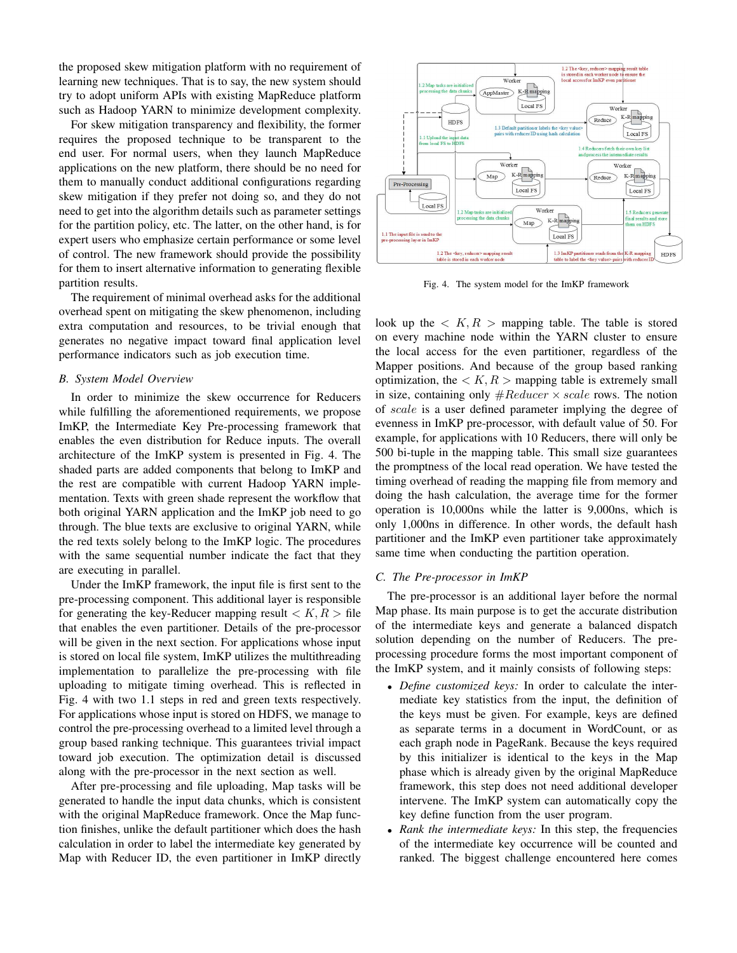the proposed skew mitigation platform with no requirement of learning new techniques. That is to say, the new system should try to adopt uniform APIs with existing MapReduce platform such as Hadoop YARN to minimize development complexity.

For skew mitigation transparency and flexibility, the former requires the proposed technique to be transparent to the end user. For normal users, when they launch MapReduce applications on the new platform, there should be no need for them to manually conduct additional configurations regarding skew mitigation if they prefer not doing so, and they do not need to get into the algorithm details such as parameter settings for the partition policy, etc. The latter, on the other hand, is for expert users who emphasize certain performance or some level of control. The new framework should provide the possibility for them to insert alternative information to generating flexible partition results.

The requirement of minimal overhead asks for the additional overhead spent on mitigating the skew phenomenon, including extra computation and resources, to be trivial enough that generates no negative impact toward final application level performance indicators such as job execution time.

#### *B. System Model Overview*

In order to minimize the skew occurrence for Reducers while fulfilling the aforementioned requirements, we propose ImKP, the Intermediate Key Pre-processing framework that enables the even distribution for Reduce inputs. The overall architecture of the ImKP system is presented in Fig. 4. The shaded parts are added components that belong to ImKP and the rest are compatible with current Hadoop YARN implementation. Texts with green shade represent the workflow that both original YARN application and the ImKP job need to go through. The blue texts are exclusive to original YARN, while the red texts solely belong to the ImKP logic. The procedures with the same sequential number indicate the fact that they are executing in parallel.

Under the ImKP framework, the input file is first sent to the pre-processing component. This additional layer is responsible for generating the key-Reducer mapping result  $\langle K, R \rangle$  file that enables the even partitioner. Details of the pre-processor will be given in the next section. For applications whose input is stored on local file system, ImKP utilizes the multithreading implementation to parallelize the pre-processing with file uploading to mitigate timing overhead. This is reflected in Fig. 4 with two 1.1 steps in red and green texts respectively. For applications whose input is stored on HDFS, we manage to control the pre-processing overhead to a limited level through a group based ranking technique. This guarantees trivial impact toward job execution. The optimization detail is discussed along with the pre-processor in the next section as well.

After pre-processing and file uploading, Map tasks will be generated to handle the input data chunks, which is consistent with the original MapReduce framework. Once the Map function finishes, unlike the default partitioner which does the hash calculation in order to label the intermediate key generated by Map with Reducer ID, the even partitioner in ImKP directly



Fig. 4. The system model for the ImKP framework

look up the  $\langle K, R \rangle$  mapping table. The table is stored on every machine node within the YARN cluster to ensure the local access for the even partitioner, regardless of the Mapper positions. And because of the group based ranking optimization, the  $\langle K, R \rangle$  mapping table is extremely small in size, containing only  $\#Reducer \times scale$  rows. The notion of scale is a user defined parameter implying the degree of evenness in ImKP pre-processor, with default value of 50. For example, for applications with 10 Reducers, there will only be 500 bi-tuple in the mapping table. This small size guarantees the promptness of the local read operation. We have tested the timing overhead of reading the mapping file from memory and doing the hash calculation, the average time for the former operation is 10,000ns while the latter is 9,000ns, which is only 1,000ns in difference. In other words, the default hash partitioner and the ImKP even partitioner take approximately same time when conducting the partition operation.

#### *C. The Pre-processor in ImKP*

The pre-processor is an additional layer before the normal Map phase. Its main purpose is to get the accurate distribution of the intermediate keys and generate a balanced dispatch solution depending on the number of Reducers. The preprocessing procedure forms the most important component of the ImKP system, and it mainly consists of following steps:

- *Define customized keys:* In order to calculate the intermediate key statistics from the input, the definition of the keys must be given. For example, keys are defined as separate terms in a document in WordCount, or as each graph node in PageRank. Because the keys required by this initializer is identical to the keys in the Map phase which is already given by the original MapReduce framework, this step does not need additional developer intervene. The ImKP system can automatically copy the key define function from the user program.
- *Rank the intermediate keys:* In this step, the frequencies of the intermediate key occurrence will be counted and ranked. The biggest challenge encountered here comes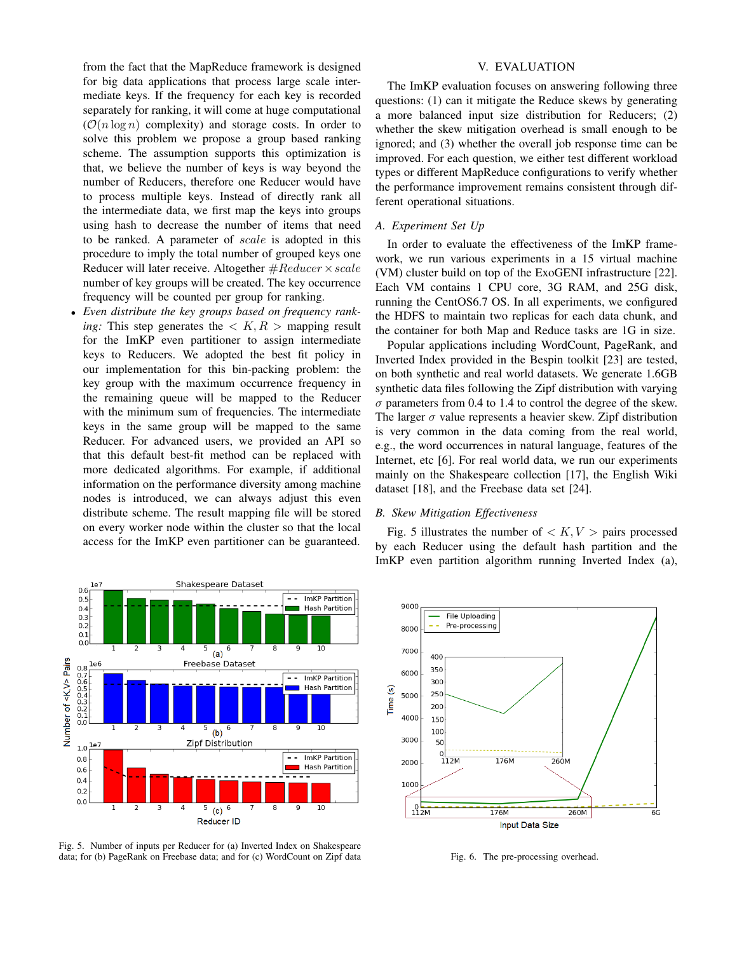from the fact that the MapReduce framework is designed for big data applications that process large scale intermediate keys. If the frequency for each key is recorded separately for ranking, it will come at huge computational  $(\mathcal{O}(n \log n))$  complexity) and storage costs. In order to solve this problem we propose a group based ranking scheme. The assumption supports this optimization is that, we believe the number of keys is way beyond the number of Reducers, therefore one Reducer would have to process multiple keys. Instead of directly rank all the intermediate data, we first map the keys into groups using hash to decrease the number of items that need to be ranked. A parameter of scale is adopted in this procedure to imply the total number of grouped keys one Reducer will later receive. Altogether  $\#Reducer \times scale$ number of key groups will be created. The key occurrence frequency will be counted per group for ranking.

• *Even distribute the key groups based on frequency ranking:* This step generates the  $\langle K, R \rangle$  mapping result for the ImKP even partitioner to assign intermediate keys to Reducers. We adopted the best fit policy in our implementation for this bin-packing problem: the key group with the maximum occurrence frequency in the remaining queue will be mapped to the Reducer with the minimum sum of frequencies. The intermediate keys in the same group will be mapped to the same Reducer. For advanced users, we provided an API so that this default best-fit method can be replaced with more dedicated algorithms. For example, if additional information on the performance diversity among machine nodes is introduced, we can always adjust this even distribute scheme. The result mapping file will be stored on every worker node within the cluster so that the local access for the ImKP even partitioner can be guaranteed.



Fig. 5. Number of inputs per Reducer for (a) Inverted Index on Shakespeare data; for (b) PageRank on Freebase data; and for (c) WordCount on Zipf data

#### V. EVALUATION

The ImKP evaluation focuses on answering following three questions: (1) can it mitigate the Reduce skews by generating a more balanced input size distribution for Reducers; (2) whether the skew mitigation overhead is small enough to be ignored; and (3) whether the overall job response time can be improved. For each question, we either test different workload types or different MapReduce configurations to verify whether the performance improvement remains consistent through different operational situations.

#### *A. Experiment Set Up*

In order to evaluate the effectiveness of the ImKP framework, we run various experiments in a 15 virtual machine (VM) cluster build on top of the ExoGENI infrastructure [22]. Each VM contains 1 CPU core, 3G RAM, and 25G disk, running the CentOS6.7 OS. In all experiments, we configured the HDFS to maintain two replicas for each data chunk, and the container for both Map and Reduce tasks are 1G in size.

Popular applications including WordCount, PageRank, and Inverted Index provided in the Bespin toolkit [23] are tested, on both synthetic and real world datasets. We generate 1.6GB synthetic data files following the Zipf distribution with varying  $\sigma$  parameters from 0.4 to 1.4 to control the degree of the skew. The larger  $\sigma$  value represents a heavier skew. Zipf distribution is very common in the data coming from the real world, e.g., the word occurrences in natural language, features of the Internet, etc [6]. For real world data, we run our experiments mainly on the Shakespeare collection [17], the English Wiki dataset [18], and the Freebase data set [24].

#### *B. Skew Mitigation Effectiveness*

Fig. 5 illustrates the number of  $\langle K, V \rangle$  pairs processed by each Reducer using the default hash partition and the ImKP even partition algorithm running Inverted Index (a),



Fig. 6. The pre-processing overhead.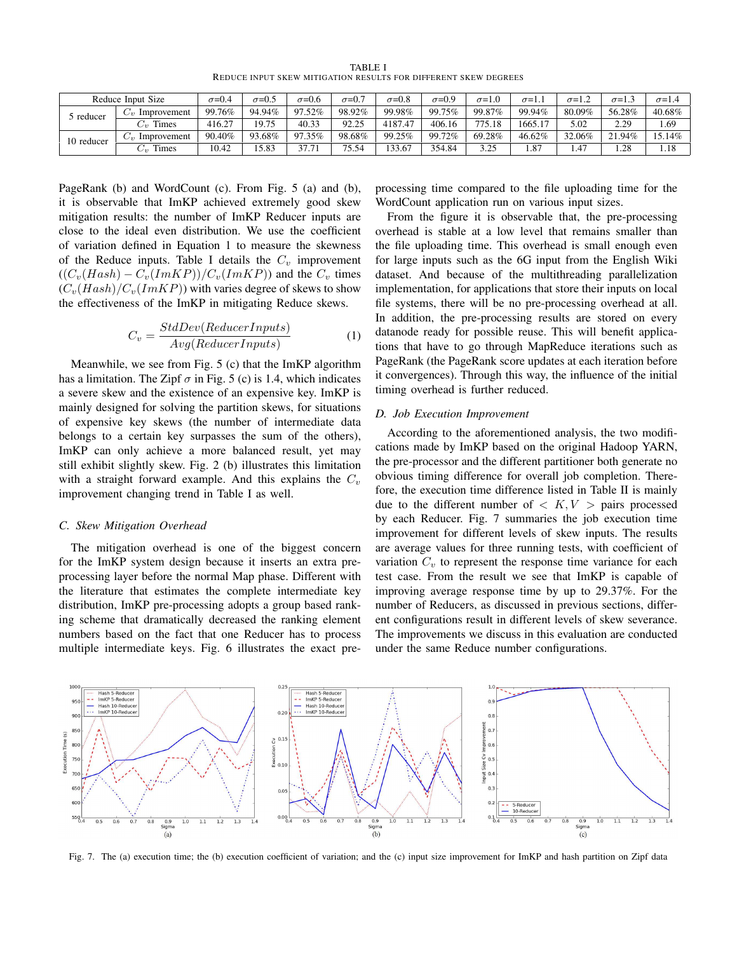TABLE I REDUCE INPUT SKEW MITIGATION RESULTS FOR DIFFERENT SKEW DEGREES

| Reduce Input Size |                          | $\sigma = 0.4$ | $\sigma = 0.5$ | $\sigma$ =0.6           | $\sigma = 0.7$ | $\sigma = 0.8$ | $\sigma = 0.9$ | $\sigma = 1.0$ | $\sigma=1.$ | $\sigma = 1.2$ | $\sigma$ =1.3 | $\sigma$ =1.4 |
|-------------------|--------------------------|----------------|----------------|-------------------------|----------------|----------------|----------------|----------------|-------------|----------------|---------------|---------------|
| b reducer         | Improvement              | 99.76%         | 94.94%         | 1.52%<br>Q <sub>7</sub> | 98.92%         | 99.98%         | 99.75%         | 99.87%         | 99.94%      | 80.09%         | 56.28%        | 40.68%        |
|                   | $C_v$ Times              | 416.27         | 19.75          | 40.33                   | 92.25          | 4187.47        | 406.16         | 775.18         | 1665.17     | 5.02           | 2.29          | 1.69          |
| 10 reducer        | Improvement<br>$\cup$ 1) | 90.40%         | 93.68%         | Q7<br>$1.35\%$          | 98.68%         | 99.25%         | 99.72%         | 69.28%         | 46.62%      | 32.06%         | 21.94%        | 15.14%        |
|                   | Times<br>C.,             | 10.42          | 5.83           | 37.71                   | 75.54          | 33.67          | 354.84         | 3.25           | 1.87        | . 47           | .28           | 1.18          |

PageRank (b) and WordCount (c). From Fig. 5 (a) and (b), it is observable that ImKP achieved extremely good skew mitigation results: the number of ImKP Reducer inputs are close to the ideal even distribution. We use the coefficient of variation defined in Equation 1 to measure the skewness of the Reduce inputs. Table I details the  $C_v$  improvement  $((C_v(Hash) - C_v(ImKP))/C_v(ImKP))$  and the  $C_v$  times  $(C_v(Hash)/C_v(ImKP))$  with varies degree of skews to show the effectiveness of the ImKP in mitigating Reduce skews.

$$
C_v = \frac{StdDev(ReducerInputStream)}{Avg(ReducerInputStream)}\tag{1}
$$

Meanwhile, we see from Fig. 5 (c) that the ImKP algorithm has a limitation. The Zipf  $\sigma$  in Fig. 5 (c) is 1.4, which indicates a severe skew and the existence of an expensive key. ImKP is mainly designed for solving the partition skews, for situations of expensive key skews (the number of intermediate data belongs to a certain key surpasses the sum of the others), ImKP can only achieve a more balanced result, yet may still exhibit slightly skew. Fig. 2 (b) illustrates this limitation with a straight forward example. And this explains the  $C_v$ improvement changing trend in Table I as well.

#### *C. Skew Mitigation Overhead*

The mitigation overhead is one of the biggest concern for the ImKP system design because it inserts an extra preprocessing layer before the normal Map phase. Different with the literature that estimates the complete intermediate key distribution, ImKP pre-processing adopts a group based ranking scheme that dramatically decreased the ranking element numbers based on the fact that one Reducer has to process multiple intermediate keys. Fig. 6 illustrates the exact preprocessing time compared to the file uploading time for the WordCount application run on various input sizes.

From the figure it is observable that, the pre-processing overhead is stable at a low level that remains smaller than the file uploading time. This overhead is small enough even for large inputs such as the 6G input from the English Wiki dataset. And because of the multithreading parallelization implementation, for applications that store their inputs on local file systems, there will be no pre-processing overhead at all. In addition, the pre-processing results are stored on every datanode ready for possible reuse. This will benefit applications that have to go through MapReduce iterations such as PageRank (the PageRank score updates at each iteration before it convergences). Through this way, the influence of the initial timing overhead is further reduced.

#### *D. Job Execution Improvement*

According to the aforementioned analysis, the two modifications made by ImKP based on the original Hadoop YARN, the pre-processor and the different partitioner both generate no obvious timing difference for overall job completion. Therefore, the execution time difference listed in Table II is mainly due to the different number of  $\langle K, V \rangle$  pairs processed by each Reducer. Fig. 7 summaries the job execution time improvement for different levels of skew inputs. The results are average values for three running tests, with coefficient of variation  $C_v$  to represent the response time variance for each test case. From the result we see that ImKP is capable of improving average response time by up to 29.37%. For the number of Reducers, as discussed in previous sections, different configurations result in different levels of skew severance. The improvements we discuss in this evaluation are conducted under the same Reduce number configurations.



Fig. 7. The (a) execution time; the (b) execution coefficient of variation; and the (c) input size improvement for ImKP and hash partition on Zipf data